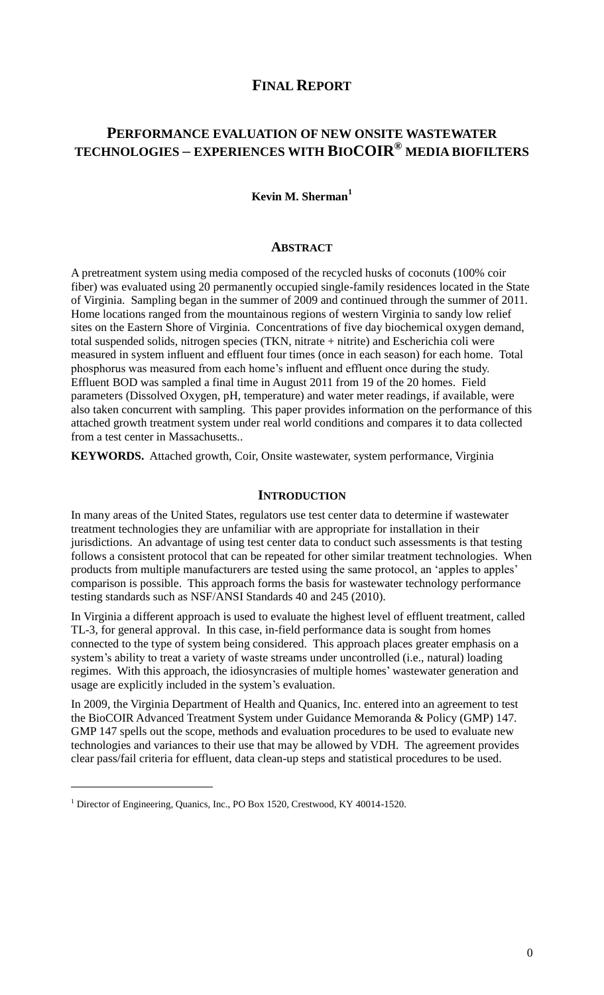# **FINAL REPORT**

# **PERFORMANCE EVALUATION OF NEW ONSITE WASTEWATER TECHNOLOGIES – EXPERIENCES WITH BIOCOIR® MEDIA BIOFILTERS**

## **Kevin M. Sherman<sup>1</sup>**

#### **ABSTRACT**

A pretreatment system using media composed of the recycled husks of coconuts (100% coir fiber) was evaluated using 20 permanently occupied single-family residences located in the State of Virginia. Sampling began in the summer of 2009 and continued through the summer of 2011. Home locations ranged from the mountainous regions of western Virginia to sandy low relief sites on the Eastern Shore of Virginia. Concentrations of five day biochemical oxygen demand, total suspended solids, nitrogen species (TKN, nitrate + nitrite) and Escherichia coli were measured in system influent and effluent four times (once in each season) for each home. Total phosphorus was measured from each home"s influent and effluent once during the study. Effluent BOD was sampled a final time in August 2011 from 19 of the 20 homes. Field parameters (Dissolved Oxygen, pH, temperature) and water meter readings, if available, were also taken concurrent with sampling. This paper provides information on the performance of this attached growth treatment system under real world conditions and compares it to data collected from a test center in Massachusetts..

**KEYWORDS.** Attached growth, Coir, Onsite wastewater, system performance, Virginia

### **INTRODUCTION**

In many areas of the United States, regulators use test center data to determine if wastewater treatment technologies they are unfamiliar with are appropriate for installation in their jurisdictions. An advantage of using test center data to conduct such assessments is that testing follows a consistent protocol that can be repeated for other similar treatment technologies. When products from multiple manufacturers are tested using the same protocol, an "apples to apples" comparison is possible. This approach forms the basis for wastewater technology performance testing standards such as NSF/ANSI Standards 40 and 245 (2010).

In Virginia a different approach is used to evaluate the highest level of effluent treatment, called TL-3, for general approval. In this case, in-field performance data is sought from homes connected to the type of system being considered. This approach places greater emphasis on a system's ability to treat a variety of waste streams under uncontrolled (i.e., natural) loading regimes. With this approach, the idiosyncrasies of multiple homes" wastewater generation and usage are explicitly included in the system"s evaluation.

In 2009, the Virginia Department of Health and Quanics, Inc. entered into an agreement to test the BioCOIR Advanced Treatment System under Guidance Memoranda & Policy (GMP) 147. GMP 147 spells out the scope, methods and evaluation procedures to be used to evaluate new technologies and variances to their use that may be allowed by VDH. The agreement provides clear pass/fail criteria for effluent, data clean-up steps and statistical procedures to be used.

 $\overline{a}$ 

<sup>&</sup>lt;sup>1</sup> Director of Engineering, Quanics, Inc., PO Box 1520, Crestwood, KY 40014-1520.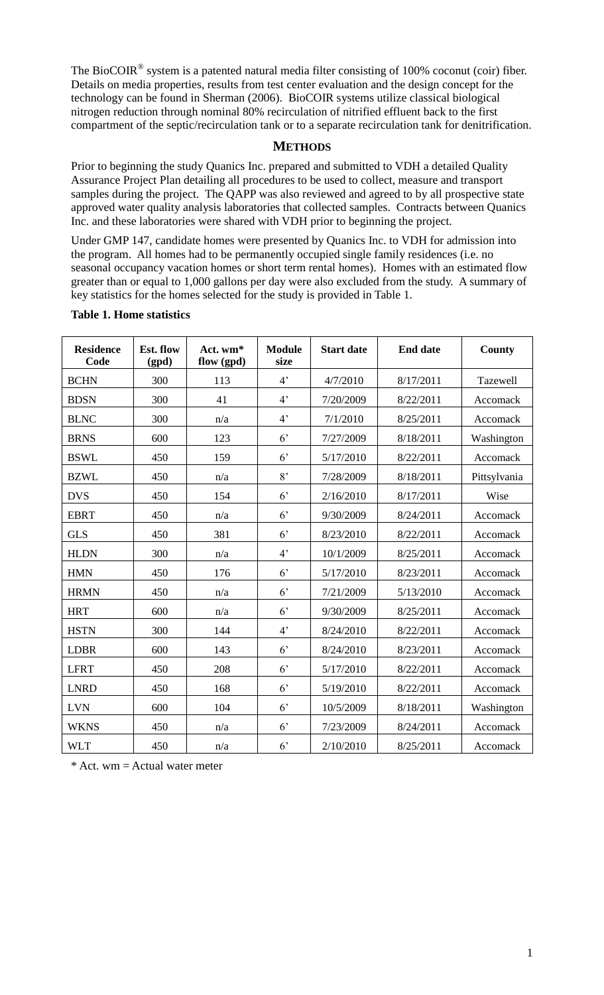The BioCOIR<sup>®</sup> system is a patented natural media filter consisting of 100% coconut (coir) fiber. Details on media properties, results from test center evaluation and the design concept for the technology can be found in Sherman (2006). BioCOIR systems utilize classical biological nitrogen reduction through nominal 80% recirculation of nitrified effluent back to the first compartment of the septic/recirculation tank or to a separate recirculation tank for denitrification.

### **METHODS**

Prior to beginning the study Quanics Inc. prepared and submitted to VDH a detailed Quality Assurance Project Plan detailing all procedures to be used to collect, measure and transport samples during the project. The QAPP was also reviewed and agreed to by all prospective state approved water quality analysis laboratories that collected samples. Contracts between Quanics Inc. and these laboratories were shared with VDH prior to beginning the project.

Under GMP 147, candidate homes were presented by Quanics Inc. to VDH for admission into the program. All homes had to be permanently occupied single family residences (i.e. no seasonal occupancy vacation homes or short term rental homes). Homes with an estimated flow greater than or equal to 1,000 gallons per day were also excluded from the study. A summary of key statistics for the homes selected for the study is provided in Table 1.

| <b>Residence</b><br>Code | Est. flow<br>(gpd) | Act. wm*<br>flow (gpd) | <b>Module</b><br>size | <b>Start date</b> | <b>End date</b> | County       |
|--------------------------|--------------------|------------------------|-----------------------|-------------------|-----------------|--------------|
| <b>BCHN</b>              | 300                | 113                    | 4 <sup>2</sup>        | 4/7/2010          | 8/17/2011       | Tazewell     |
| <b>BDSN</b>              | 300                | 41                     | 4 <sup>2</sup>        | 7/20/2009         | 8/22/2011       | Accomack     |
| <b>BLNC</b>              | 300                | n/a                    | 4 <sup>2</sup>        | 7/1/2010          | 8/25/2011       | Accomack     |
| <b>BRNS</b>              | 600                | 123                    | 6 <sup>2</sup>        | 7/27/2009         | 8/18/2011       | Washington   |
| <b>BSWL</b>              | 450                | 159                    | 6 <sup>2</sup>        | 5/17/2010         | 8/22/2011       | Accomack     |
| <b>BZWL</b>              | 450                | n/a                    | 8'                    | 7/28/2009         | 8/18/2011       | Pittsylvania |
| <b>DVS</b>               | 450                | 154                    | 6 <sup>2</sup>        | 2/16/2010         | 8/17/2011       | Wise         |
| <b>EBRT</b>              | 450                | n/a                    | 6 <sup>2</sup>        | 9/30/2009         | 8/24/2011       | Accomack     |
| <b>GLS</b>               | 450                | 381                    | 6 <sup>2</sup>        | 8/23/2010         | 8/22/2011       | Accomack     |
| <b>HLDN</b>              | 300                | n/a                    | 4 <sup>2</sup>        | 10/1/2009         | 8/25/2011       | Accomack     |
| <b>HMN</b>               | 450                | 176                    | 6 <sup>2</sup>        | 5/17/2010         | 8/23/2011       | Accomack     |
| <b>HRMN</b>              | 450                | n/a                    | 6 <sup>2</sup>        | 7/21/2009         | 5/13/2010       | Accomack     |
| <b>HRT</b>               | 600                | n/a                    | 6 <sup>2</sup>        | 9/30/2009         | 8/25/2011       | Accomack     |
| <b>HSTN</b>              | 300                | 144                    | 4 <sup>2</sup>        | 8/24/2010         | 8/22/2011       | Accomack     |
| <b>LDBR</b>              | 600                | 143                    | 6 <sup>2</sup>        | 8/24/2010         | 8/23/2011       | Accomack     |
| <b>LFRT</b>              | 450                | 208                    | 6 <sup>2</sup>        | 5/17/2010         | 8/22/2011       | Accomack     |
| <b>LNRD</b>              | 450                | 168                    | 6 <sup>2</sup>        | 5/19/2010         | 8/22/2011       | Accomack     |
| <b>LVN</b>               | 600                | 104                    | 6 <sup>2</sup>        | 10/5/2009         | 8/18/2011       | Washington   |
| <b>WKNS</b>              | 450                | n/a                    | 6 <sup>2</sup>        | 7/23/2009         | 8/24/2011       | Accomack     |
| <b>WLT</b>               | 450                | n/a                    | 6 <sup>2</sup>        | 2/10/2010         | 8/25/2011       | Accomack     |

#### **Table 1. Home statistics**

 $*$  Act. wm = Actual water meter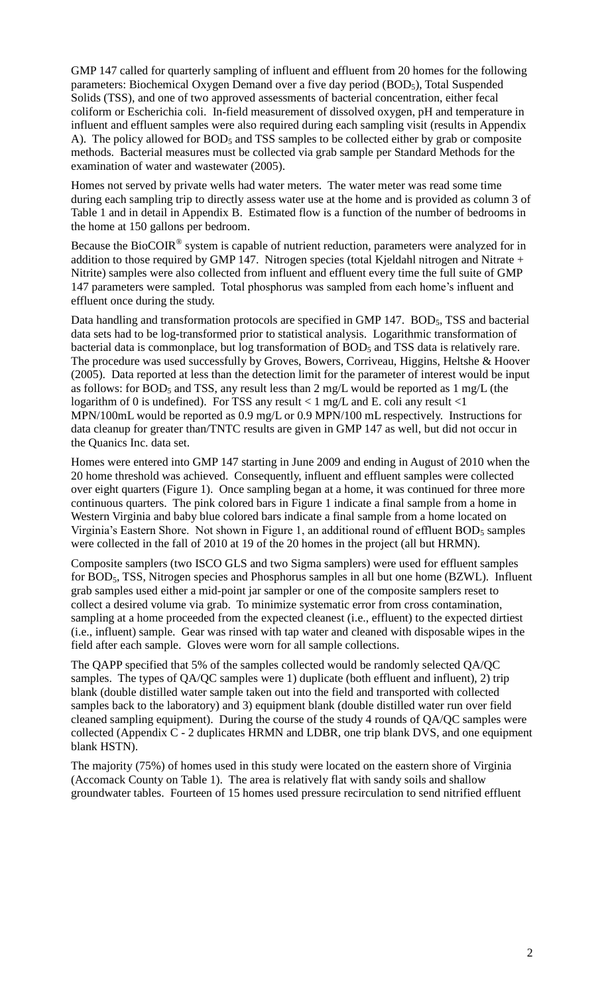GMP 147 called for quarterly sampling of influent and effluent from 20 homes for the following parameters: Biochemical Oxygen Demand over a five day period (BOD<sub>5</sub>), Total Suspended Solids (TSS), and one of two approved assessments of bacterial concentration, either fecal coliform or Escherichia coli. In-field measurement of dissolved oxygen, pH and temperature in influent and effluent samples were also required during each sampling visit (results in Appendix A). The policy allowed for BOD<sub>5</sub> and TSS samples to be collected either by grab or composite methods. Bacterial measures must be collected via grab sample per Standard Methods for the examination of water and wastewater (2005).

Homes not served by private wells had water meters. The water meter was read some time during each sampling trip to directly assess water use at the home and is provided as column 3 of Table 1 and in detail in Appendix B. Estimated flow is a function of the number of bedrooms in the home at 150 gallons per bedroom.

Because the BioCOIR<sup>®</sup> system is capable of nutrient reduction, parameters were analyzed for in addition to those required by GMP 147. Nitrogen species (total Kjeldahl nitrogen and Nitrate + Nitrite) samples were also collected from influent and effluent every time the full suite of GMP 147 parameters were sampled. Total phosphorus was sampled from each home"s influent and effluent once during the study.

Data handling and transformation protocols are specified in GMP 147. BOD<sub>5</sub>, TSS and bacterial data sets had to be log-transformed prior to statistical analysis. Logarithmic transformation of bacterial data is commonplace, but log transformation of BOD<sub>5</sub> and TSS data is relatively rare. The procedure was used successfully by Groves, Bowers, Corriveau, Higgins, Heltshe & Hoover (2005). Data reported at less than the detection limit for the parameter of interest would be input as follows: for BOD<sub>5</sub> and TSS, any result less than 2 mg/L would be reported as 1 mg/L (the logarithm of 0 is undefined). For TSS any result  $<$  1 mg/L and E. coli any result  $<$  1 MPN/100mL would be reported as 0.9 mg/L or 0.9 MPN/100 mL respectively. Instructions for data cleanup for greater than/TNTC results are given in GMP 147 as well, but did not occur in the Quanics Inc. data set.

Homes were entered into GMP 147 starting in June 2009 and ending in August of 2010 when the 20 home threshold was achieved. Consequently, influent and effluent samples were collected over eight quarters (Figure 1). Once sampling began at a home, it was continued for three more continuous quarters. The pink colored bars in Figure 1 indicate a final sample from a home in Western Virginia and baby blue colored bars indicate a final sample from a home located on Virginia's Eastern Shore. Not shown in Figure 1, an additional round of effluent  $BOD<sub>5</sub>$  samples were collected in the fall of 2010 at 19 of the 20 homes in the project (all but HRMN).

Composite samplers (two ISCO GLS and two Sigma samplers) were used for effluent samples for BOD5, TSS, Nitrogen species and Phosphorus samples in all but one home (BZWL). Influent grab samples used either a mid-point jar sampler or one of the composite samplers reset to collect a desired volume via grab. To minimize systematic error from cross contamination, sampling at a home proceeded from the expected cleanest (i.e., effluent) to the expected dirtiest (i.e., influent) sample. Gear was rinsed with tap water and cleaned with disposable wipes in the field after each sample. Gloves were worn for all sample collections.

The QAPP specified that 5% of the samples collected would be randomly selected QA/QC samples. The types of QA/QC samples were 1) duplicate (both effluent and influent), 2) trip blank (double distilled water sample taken out into the field and transported with collected samples back to the laboratory) and 3) equipment blank (double distilled water run over field cleaned sampling equipment). During the course of the study 4 rounds of QA/QC samples were collected (Appendix C - 2 duplicates HRMN and LDBR, one trip blank DVS, and one equipment blank HSTN).

The majority (75%) of homes used in this study were located on the eastern shore of Virginia (Accomack County on Table 1). The area is relatively flat with sandy soils and shallow groundwater tables. Fourteen of 15 homes used pressure recirculation to send nitrified effluent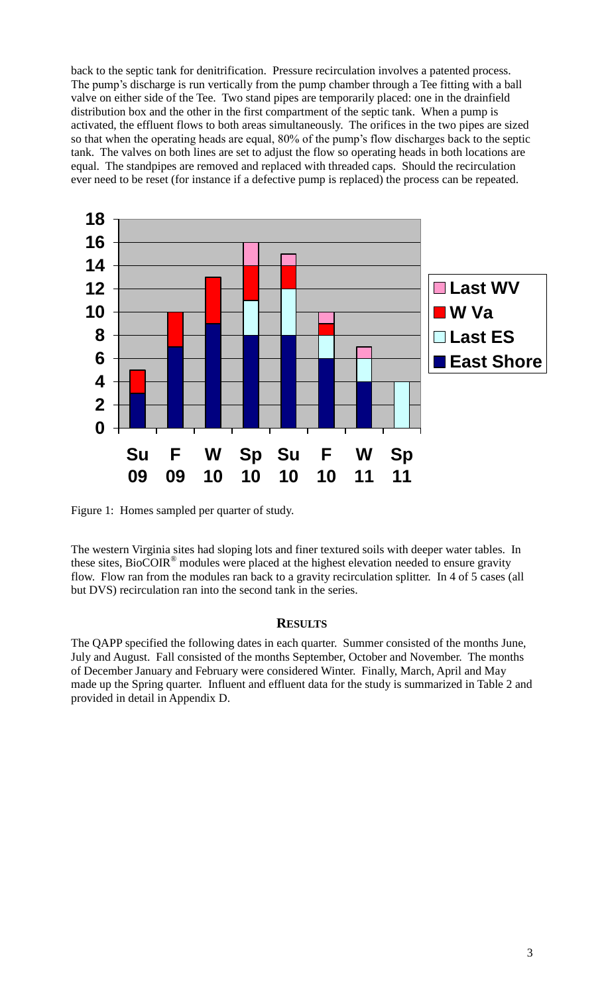back to the septic tank for denitrification. Pressure recirculation involves a patented process. The pump's discharge is run vertically from the pump chamber through a Tee fitting with a ball valve on either side of the Tee. Two stand pipes are temporarily placed: one in the drainfield distribution box and the other in the first compartment of the septic tank. When a pump is activated, the effluent flows to both areas simultaneously. The orifices in the two pipes are sized so that when the operating heads are equal, 80% of the pump"s flow discharges back to the septic tank. The valves on both lines are set to adjust the flow so operating heads in both locations are equal. The standpipes are removed and replaced with threaded caps. Should the recirculation ever need to be reset (for instance if a defective pump is replaced) the process can be repeated.



Figure 1: Homes sampled per quarter of study.

The western Virginia sites had sloping lots and finer textured soils with deeper water tables. In these sites, BioCOIR® modules were placed at the highest elevation needed to ensure gravity flow. Flow ran from the modules ran back to a gravity recirculation splitter. In 4 of 5 cases (all but DVS) recirculation ran into the second tank in the series.

#### **RESULTS**

The QAPP specified the following dates in each quarter. Summer consisted of the months June, July and August. Fall consisted of the months September, October and November. The months of December January and February were considered Winter. Finally, March, April and May made up the Spring quarter. Influent and effluent data for the study is summarized in Table 2 and provided in detail in Appendix D.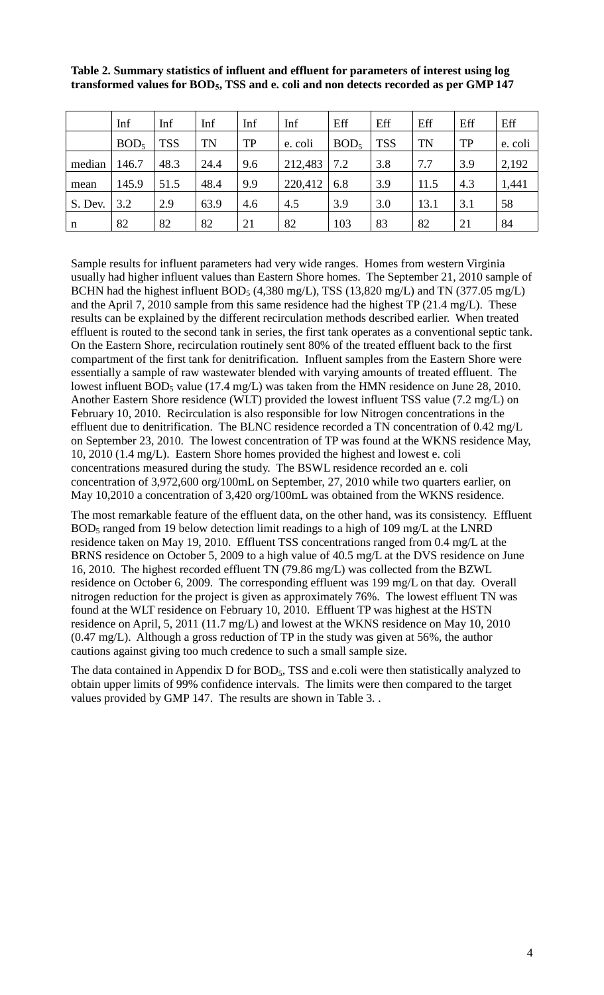|         | Inf              | Inf        | Inf       | Inf       | Inf     | Eff              | Eff        | Eff       | Eff       | Eff     |
|---------|------------------|------------|-----------|-----------|---------|------------------|------------|-----------|-----------|---------|
|         | BOD <sub>5</sub> | <b>TSS</b> | <b>TN</b> | <b>TP</b> | e. coli | BOD <sub>5</sub> | <b>TSS</b> | <b>TN</b> | <b>TP</b> | e. coli |
| median  | 146.7            | 48.3       | 24.4      | 9.6       | 212,483 | 7.2              | 3.8        | 7.7       | 3.9       | 2,192   |
| mean    | 145.9            | 51.5       | 48.4      | 9.9       | 220,412 | 6.8              | 3.9        | 11.5      | 4.3       | 1,441   |
| S. Dev. | 3.2              | 2.9        | 63.9      | 4.6       | 4.5     | 3.9              | 3.0        | 13.1      | 3.1       | 58      |
| n       | 82               | 82         | 82        | 21        | 82      | 103              | 83         | 82        | 21        | 84      |

## **Table 2. Summary statistics of influent and effluent for parameters of interest using log transformed values for BOD5, TSS and e. coli and non detects recorded as per GMP 147**

Sample results for influent parameters had very wide ranges. Homes from western Virginia usually had higher influent values than Eastern Shore homes. The September 21, 2010 sample of BCHN had the highest influent BOD<sub>5</sub> (4,380 mg/L), TSS (13,820 mg/L) and TN (377.05 mg/L) and the April 7, 2010 sample from this same residence had the highest TP (21.4 mg/L). These results can be explained by the different recirculation methods described earlier. When treated effluent is routed to the second tank in series, the first tank operates as a conventional septic tank. On the Eastern Shore, recirculation routinely sent 80% of the treated effluent back to the first compartment of the first tank for denitrification. Influent samples from the Eastern Shore were essentially a sample of raw wastewater blended with varying amounts of treated effluent. The lowest influent  $BOD_5$  value (17.4 mg/L) was taken from the HMN residence on June 28, 2010. Another Eastern Shore residence (WLT) provided the lowest influent TSS value (7.2 mg/L) on February 10, 2010. Recirculation is also responsible for low Nitrogen concentrations in the effluent due to denitrification. The BLNC residence recorded a TN concentration of 0.42 mg/L on September 23, 2010. The lowest concentration of TP was found at the WKNS residence May, 10, 2010 (1.4 mg/L). Eastern Shore homes provided the highest and lowest e. coli concentrations measured during the study. The BSWL residence recorded an e. coli concentration of 3,972,600 org/100mL on September, 27, 2010 while two quarters earlier, on May 10,2010 a concentration of 3,420 org/100mL was obtained from the WKNS residence.

The most remarkable feature of the effluent data, on the other hand, was its consistency. Effluent BOD<sup>5</sup> ranged from 19 below detection limit readings to a high of 109 mg/L at the LNRD residence taken on May 19, 2010. Effluent TSS concentrations ranged from 0.4 mg/L at the BRNS residence on October 5, 2009 to a high value of 40.5 mg/L at the DVS residence on June 16, 2010. The highest recorded effluent TN (79.86 mg/L) was collected from the BZWL residence on October 6, 2009. The corresponding effluent was 199 mg/L on that day. Overall nitrogen reduction for the project is given as approximately 76%. The lowest effluent TN was found at the WLT residence on February 10, 2010. Effluent TP was highest at the HSTN residence on April, 5, 2011 (11.7 mg/L) and lowest at the WKNS residence on May 10, 2010 (0.47 mg/L). Although a gross reduction of TP in the study was given at 56%, the author cautions against giving too much credence to such a small sample size.

The data contained in Appendix D for BOD<sub>5</sub>, TSS and e.coli were then statistically analyzed to obtain upper limits of 99% confidence intervals. The limits were then compared to the target values provided by GMP 147. The results are shown in Table 3. .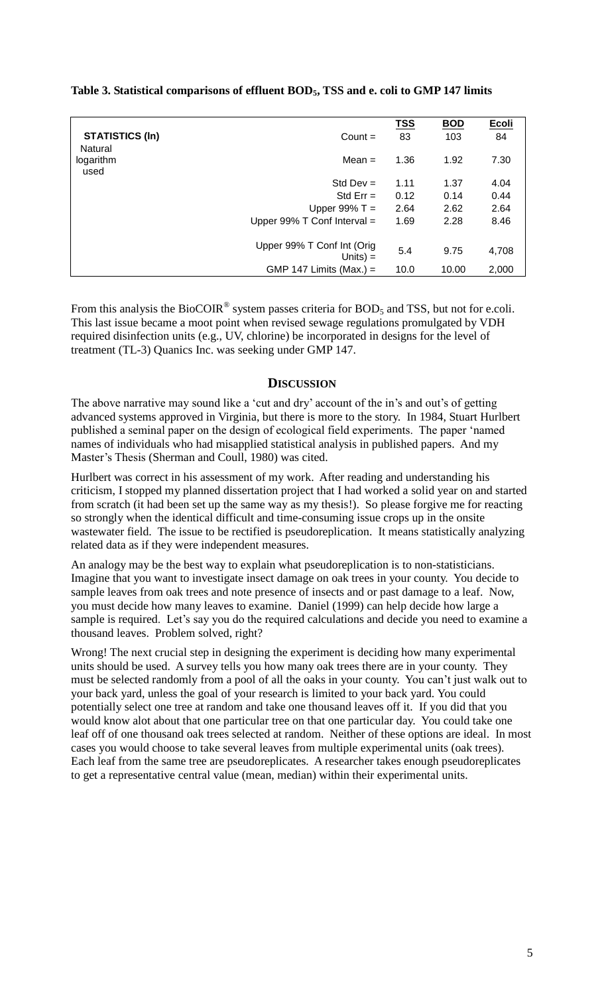**Table 3. Statistical comparisons of effluent BOD5, TSS and e. coli to GMP 147 limits**

|                                   |                                           | <b>TSS</b> | <b>BOD</b> | Ecoli |
|-----------------------------------|-------------------------------------------|------------|------------|-------|
| <b>STATISTICS (In)</b><br>Natural | $Count =$                                 | 83         | 103        | 84    |
| logarithm<br>used                 | Mean $=$                                  | 1.36       | 1.92       | 7.30  |
|                                   | Std Dev $=$                               | 1.11       | 1.37       | 4.04  |
|                                   | Std $Err =$                               | 0.12       | 0.14       | 0.44  |
|                                   | Upper $99\%$ T =                          | 2.64       | 2.62       | 2.64  |
|                                   | Upper $99\%$ T Conf Interval =            | 1.69       | 2.28       | 8.46  |
|                                   | Upper 99% T Conf Int (Orig<br>Units $) =$ | 5.4        | 9.75       | 4,708 |
|                                   | GMP 147 Limits (Max.) =                   | 10.0       | 10.00      | 2,000 |

From this analysis the BioCOIR<sup>®</sup> system passes criteria for BOD<sub>5</sub> and TSS, but not for e.coli. This last issue became a moot point when revised sewage regulations promulgated by VDH required disinfection units (e.g., UV, chlorine) be incorporated in designs for the level of treatment (TL-3) Quanics Inc. was seeking under GMP 147.

### **DISCUSSION**

The above narrative may sound like a 'cut and dry' account of the in's and out's of getting advanced systems approved in Virginia, but there is more to the story. In 1984, Stuart Hurlbert published a seminal paper on the design of ecological field experiments. The paper "named names of individuals who had misapplied statistical analysis in published papers. And my Master's Thesis (Sherman and Coull, 1980) was cited.

Hurlbert was correct in his assessment of my work. After reading and understanding his criticism, I stopped my planned dissertation project that I had worked a solid year on and started from scratch (it had been set up the same way as my thesis!). So please forgive me for reacting so strongly when the identical difficult and time-consuming issue crops up in the onsite wastewater field. The issue to be rectified is pseudoreplication. It means statistically analyzing related data as if they were independent measures.

An analogy may be the best way to explain what pseudoreplication is to non-statisticians. Imagine that you want to investigate insect damage on oak trees in your county. You decide to sample leaves from oak trees and note presence of insects and or past damage to a leaf. Now, you must decide how many leaves to examine. Daniel (1999) can help decide how large a sample is required. Let's say you do the required calculations and decide you need to examine a thousand leaves. Problem solved, right?

Wrong! The next crucial step in designing the experiment is deciding how many experimental units should be used. A survey tells you how many oak trees there are in your county. They must be selected randomly from a pool of all the oaks in your county. You can"t just walk out to your back yard, unless the goal of your research is limited to your back yard. You could potentially select one tree at random and take one thousand leaves off it. If you did that you would know alot about that one particular tree on that one particular day. You could take one leaf off of one thousand oak trees selected at random. Neither of these options are ideal. In most cases you would choose to take several leaves from multiple experimental units (oak trees). Each leaf from the same tree are pseudoreplicates. A researcher takes enough pseudoreplicates to get a representative central value (mean, median) within their experimental units.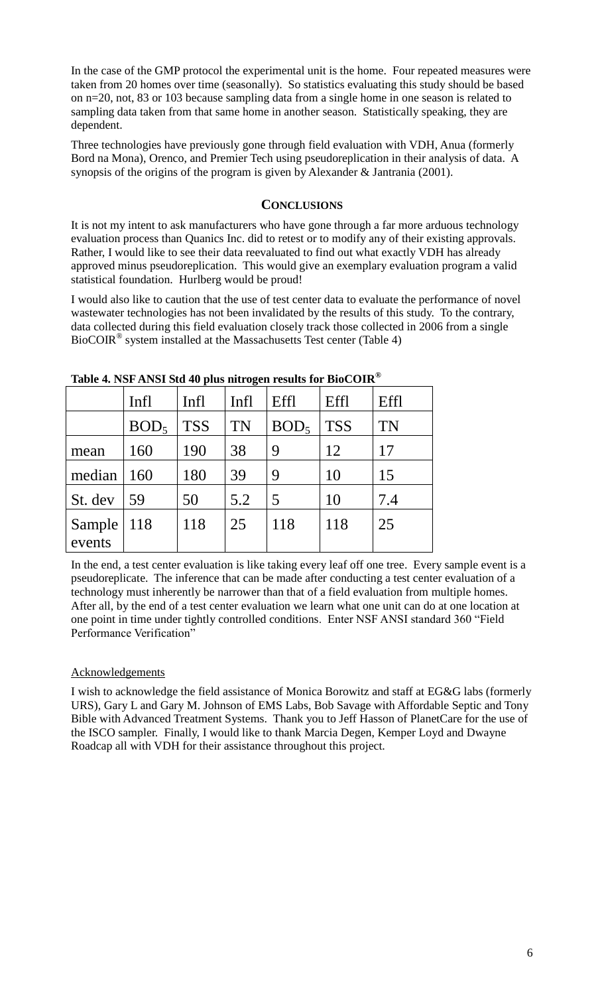In the case of the GMP protocol the experimental unit is the home. Four repeated measures were taken from 20 homes over time (seasonally). So statistics evaluating this study should be based on n=20, not, 83 or 103 because sampling data from a single home in one season is related to sampling data taken from that same home in another season. Statistically speaking, they are dependent.

Three technologies have previously gone through field evaluation with VDH, Anua (formerly Bord na Mona), Orenco, and Premier Tech using pseudoreplication in their analysis of data. A synopsis of the origins of the program is given by Alexander & Jantrania (2001).

## **CONCLUSIONS**

It is not my intent to ask manufacturers who have gone through a far more arduous technology evaluation process than Quanics Inc. did to retest or to modify any of their existing approvals. Rather, I would like to see their data reevaluated to find out what exactly VDH has already approved minus pseudoreplication. This would give an exemplary evaluation program a valid statistical foundation. Hurlberg would be proud!

I would also like to caution that the use of test center data to evaluate the performance of novel wastewater technologies has not been invalidated by the results of this study. To the contrary, data collected during this field evaluation closely track those collected in 2006 from a single BioCOIR® system installed at the Massachusetts Test center (Table 4)

|         | Infl             | Infl       | Infl      | Effl             | Effl       | Effl      |
|---------|------------------|------------|-----------|------------------|------------|-----------|
|         | BOD <sub>5</sub> | <b>TSS</b> | <b>TN</b> | BOD <sub>5</sub> | <b>TSS</b> | <b>TN</b> |
| mean    | 160              | 190        | 38        | 9                | 12         | 17        |
| median  | <b>160</b>       | 180        | 39        | 9                | 10         | 15        |
| St. dev | 59               | 50         | 5.2       | 5                | 10         | 7.4       |
| Sample  | 118              | 118        | 25        | 118              | 118        | 25        |
| events  |                  |            |           |                  |            |           |

**Table 4. NSF ANSI Std 40 plus nitrogen results for BioCOIR®**

In the end, a test center evaluation is like taking every leaf off one tree. Every sample event is a pseudoreplicate. The inference that can be made after conducting a test center evaluation of a technology must inherently be narrower than that of a field evaluation from multiple homes. After all, by the end of a test center evaluation we learn what one unit can do at one location at one point in time under tightly controlled conditions. Enter NSF ANSI standard 360 "Field Performance Verification"

## **Acknowledgements**

I wish to acknowledge the field assistance of Monica Borowitz and staff at EG&G labs (formerly URS), Gary L and Gary M. Johnson of EMS Labs, Bob Savage with Affordable Septic and Tony Bible with Advanced Treatment Systems. Thank you to Jeff Hasson of PlanetCare for the use of the ISCO sampler. Finally, I would like to thank Marcia Degen, Kemper Loyd and Dwayne Roadcap all with VDH for their assistance throughout this project.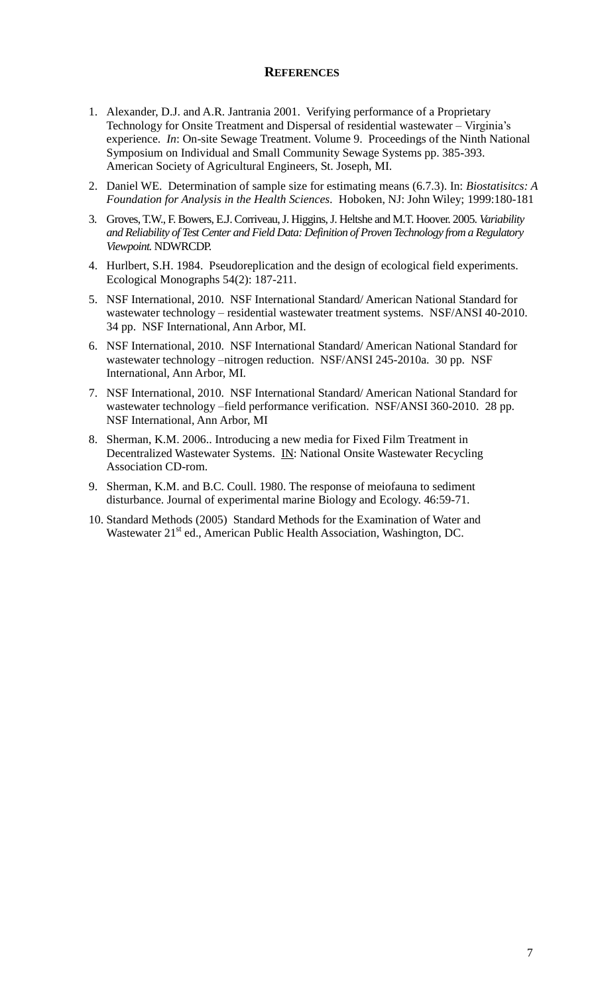#### **REFERENCES**

- 1. Alexander, D.J. and A.R. Jantrania 2001. Verifying performance of a Proprietary Technology for Onsite Treatment and Dispersal of residential wastewater – Virginia"s experience. *In*: On-site Sewage Treatment. Volume 9. Proceedings of the Ninth National Symposium on Individual and Small Community Sewage Systems pp. 385-393. American Society of Agricultural Engineers, St. Joseph, MI.
- 2. Daniel WE. Determination of sample size for estimating means (6.7.3). In: *Biostatisitcs: A Foundation for Analysis in the Health Sciences.* Hoboken, NJ: John Wiley; 1999:180-181
- 3. Groves, T.W., F. Bowers, E.J. Corriveau, J. Higgins, J. Heltshe and M.T. Hoover. 2005. *Variability and Reliability of Test Center and Field Data: Definition of Proven Technology from a Regulatory Viewpoint.* NDWRCDP.
- 4. Hurlbert, S.H. 1984. Pseudoreplication and the design of ecological field experiments. Ecological Monographs 54(2): 187-211.
- 5. NSF International, 2010. NSF International Standard/ American National Standard for wastewater technology – residential wastewater treatment systems. NSF/ANSI 40-2010. 34 pp. NSF International, Ann Arbor, MI.
- 6. NSF International, 2010. NSF International Standard/ American National Standard for wastewater technology –nitrogen reduction. NSF/ANSI 245-2010a. 30 pp. NSF International, Ann Arbor, MI.
- 7. NSF International, 2010. NSF International Standard/ American National Standard for wastewater technology –field performance verification. NSF/ANSI 360-2010. 28 pp. NSF International, Ann Arbor, MI
- 8. Sherman, K.M. 2006.. Introducing a new media for Fixed Film Treatment in Decentralized Wastewater Systems. IN: National Onsite Wastewater Recycling Association CD-rom.
- 9. Sherman, K.M. and B.C. Coull. 1980. The response of meiofauna to sediment disturbance. Journal of experimental marine Biology and Ecology. 46:59-71.
- 10. Standard Methods (2005) Standard Methods for the Examination of Water and Wastewater 21<sup>st</sup> ed., American Public Health Association, Washington, DC.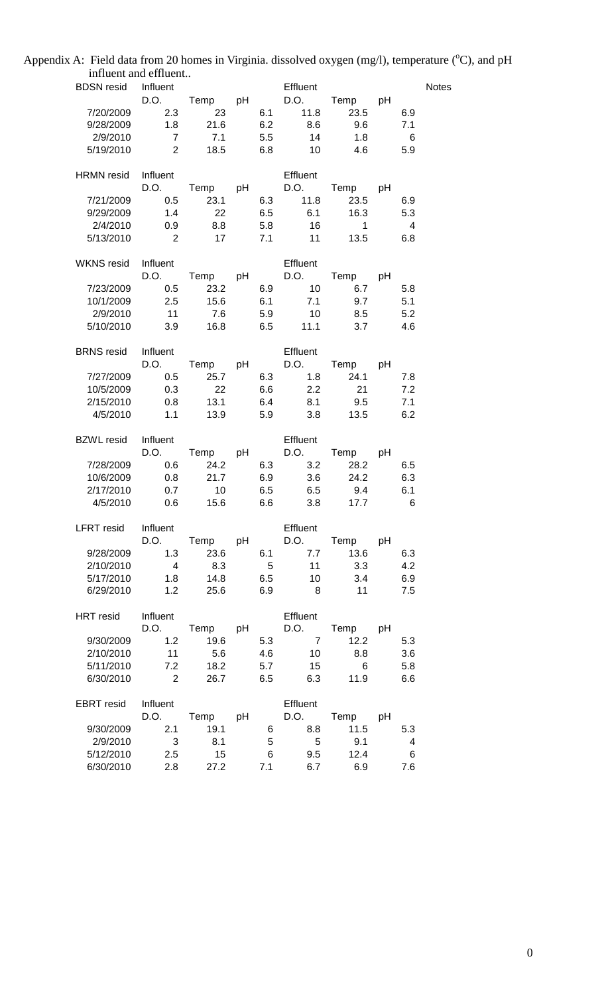Appendix A: Field data from 20 homes in Virginia. dissolved oxygen  $(mg/l)$ , temperature  $(^{o}C)$ , and pH influent and effluent..

| <b>BDSN</b> resid Influent                 |                         |                             |    |            | Effluent        |                           |     |                 | <b>Notes</b> |
|--------------------------------------------|-------------------------|-----------------------------|----|------------|-----------------|---------------------------|-----|-----------------|--------------|
|                                            |                         |                             |    |            |                 | D.O. Temp pH D.O. Temp pH |     |                 |              |
| 7/20/2009                                  | 2.3                     | $\overline{\phantom{1}}$ 23 |    |            |                 | 6.1  11.8  23.5  6.9      |     |                 |              |
| 9/28/2009  1.8  21.6                       |                         |                             |    |            |                 | $6.2$ $8.6$ $9.6$         |     | 7.1             |              |
| 2/9/2010                                   | $\overline{7}$          | 7.1                         |    |            | 5.5 14          | 1.8                       |     | $6\overline{6}$ |              |
| 5/19/2010                                  | 2 18.5                  |                             |    |            | 6.8 10          | 4.6                       |     | 5.9             |              |
| HRMN resid Influent                        |                         |                             |    |            | Effluent        |                           |     |                 |              |
|                                            |                         |                             |    |            |                 | D.O. Temp pH D.O. Temp pH |     |                 |              |
| 7/21/2009   0.5   23.1   6.3   11.8   23.5 |                         |                             |    |            |                 |                           |     | 6.9             |              |
| 9/29/2009 1.4 22                           |                         |                             |    |            |                 | 6.5 6.1 16.3 5.3          |     |                 |              |
| 2/4/2010                                   | $0.9$ 8.8               |                             |    |            |                 | 5.8 16 1                  |     | $\overline{4}$  |              |
| 5/13/2010                                  | $\overline{\mathbf{c}}$ | 17                          |    |            | 7.1 11          | 13.5                      |     | 6.8             |              |
| WKNS resid Influent                        |                         |                             |    |            | <b>Effluent</b> |                           |     |                 |              |
|                                            |                         | D.O. Temp pH D.O.           |    |            |                 | Temp pH                   |     |                 |              |
| 7/23/2009   0.5   23.2   6.9   10          |                         |                             |    |            |                 |                           | 6.7 | 5.8             |              |
| 10/1/2009 2.5 15.6 6.1 7.1 9.7             |                         |                             |    |            |                 |                           |     | 5.1             |              |
| 2/9/2010 11 7.6 5.9 10 8.5                 |                         |                             |    |            |                 |                           |     | 5.2             |              |
| 5/10/2010                                  | 3.9 16.8                |                             |    |            |                 | 6.5 11.1 3.7              |     | 4.6             |              |
| <b>BRNS</b> resid Influent                 |                         |                             |    |            | Effluent        |                           |     |                 |              |
|                                            |                         |                             |    |            |                 | D.O. Temp pH D.O. Temp pH |     |                 |              |
| 7/27/2009   0.5   25.7   6.3   1.8         |                         |                             |    |            |                 | 24.1                      |     | 7.8             |              |
| 10/5/2009                                  | 0.3 22 6.6 2.2 21       |                             |    |            |                 |                           |     | 7.2             |              |
| 2/15/2010  0.8  13.1  6.4  8.1  9.5        |                         |                             |    |            |                 |                           |     | 7.1             |              |
| 4/5/2010                                   | 1.1 13.9 5.9 3.8 13.5   |                             |    |            |                 |                           |     | 6.2             |              |
| <b>BZWL resid</b> Influent                 |                         |                             |    |            | <b>Effluent</b> |                           |     |                 |              |
|                                            |                         | D.O. Temp pH D.O.           |    |            |                 | Temp pH                   |     |                 |              |
| 7/28/2009                                  | 0.6                     |                             |    |            |                 | 24.2 6.3 3.2 28.2         |     | 6.5             |              |
| 10/6/2009                                  | 0.8 21.7 6.9 3.6 24.2   |                             |    |            |                 |                           |     | 6.3             |              |
| 2/17/2010                                  | $0.7$ 10                |                             |    |            |                 | 6.5 6.5 9.4               |     | 6.1             |              |
| 4/5/2010                                   | $0.6$ 15.6              |                             |    |            | 6.6             | 3.8<br>17.7               |     | 6               |              |
| LFRT resid                                 | Influent                |                             |    |            | Effluent        |                           |     |                 |              |
|                                            | D.O.                    | Temp                        | pH |            | D.O.            | Temp                      | pH  |                 |              |
| 9/28/2009                                  | 1.3                     | 23.6                        |    | 6.1        | 7.7             | 13.6                      |     | 6.3             |              |
| 2/10/2010                                  | $\overline{4}$          | 8.3                         |    | 5          | 11              | 3.3                       |     | 4.2             |              |
| 5/17/2010<br>6/29/2010                     | 1.8<br>1.2              | 14.8<br>25.6                |    | 6.5<br>6.9 | 10<br>8         | 3.4<br>11                 |     | 6.9<br>7.5      |              |
|                                            |                         |                             |    |            |                 |                           |     |                 |              |
| <b>HRT</b> resid                           | Influent                |                             |    |            | Effluent        |                           |     |                 |              |
|                                            | D.O.                    | Temp pH                     |    |            | D.O.            | Temp                      | pH  |                 |              |
| 9/30/2009                                  | 1.2                     | 19.6                        |    | 5.3        | $\overline{7}$  | 12.2                      |     | 5.3             |              |
| 2/10/2010                                  | 11                      | 5.6                         |    | 4.6        | 10              | 8.8                       |     | 3.6             |              |
| 5/11/2010                                  | 7.2<br>$\overline{2}$   | 18.2<br>26.7                |    | 5.7        | 15              | 6                         |     | 5.8             |              |
| 6/30/2010                                  |                         |                             |    | 6.5        | 6.3             | 11.9                      |     | 6.6             |              |
| <b>EBRT</b> resid                          | Influent                |                             |    |            | Effluent        |                           |     |                 |              |
|                                            | D.O.                    | Temp                        | pH |            | D.O.            | Temp                      | рH  |                 |              |
| 9/30/2009                                  | 2.1                     | 19.1                        |    | 6          | 8.8             | 11.5                      |     | 5.3             |              |
| 2/9/2010                                   | 3                       | 8.1                         |    | 5          | 5               | 9.1                       |     | 4               |              |
| 5/12/2010<br>6/30/2010                     | 2.5                     | 15<br>27.2                  |    | 6          | 9.5<br>6.7      | 12.4<br>6.9               |     | 6<br>7.6        |              |
|                                            | 2.8                     |                             |    | 7.1        |                 |                           |     |                 |              |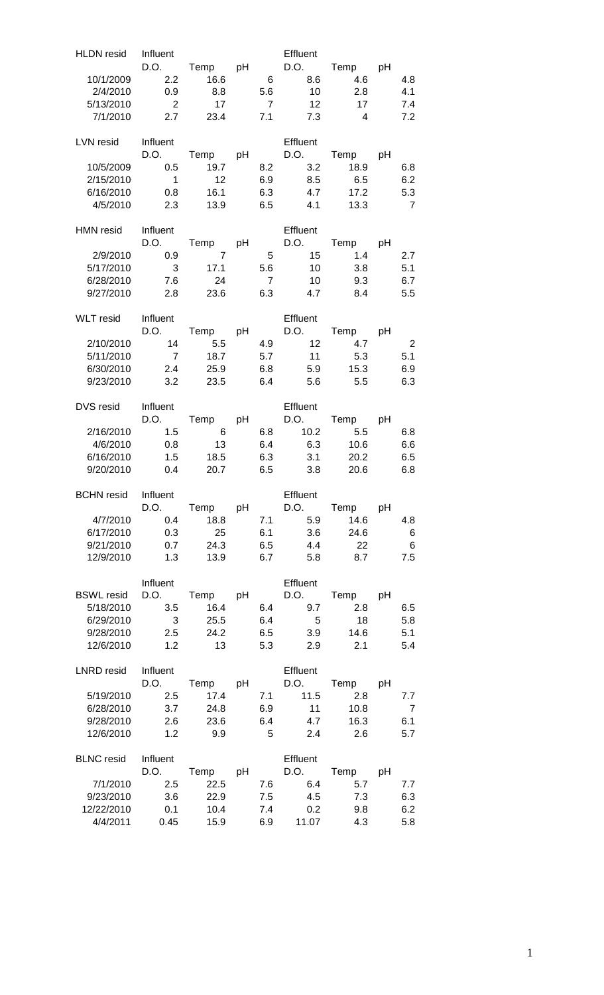| <b>HLDN</b> resid                                                             | Influent                                                    |                                                               |                                   | Effluent                                              |                                               |                                                 |
|-------------------------------------------------------------------------------|-------------------------------------------------------------|---------------------------------------------------------------|-----------------------------------|-------------------------------------------------------|-----------------------------------------------|-------------------------------------------------|
| 10/1/2009<br>2/4/2010<br>5/13/2010<br>7/1/2010                                | 2.2<br>0.9<br>$\overline{\phantom{0}}$ 2<br>2.7             | D.O. Temp pH<br>16.6<br>8.8<br>17<br>23.4                     | 6<br>5.6<br>$\overline{7}$<br>7.1 | D.O.<br>8.6<br>10<br>12<br>7.3                        | Temp pH<br>4.6<br>2.8<br>17<br>$\overline{4}$ | 4.8<br>4.1<br>7.4<br>7.2                        |
| LVN resid Influent<br>10/5/2009<br>2/15/2010<br>6/16/2010<br>4/5/2010         | 0.5<br>$\overline{\phantom{0}}$ 1<br>0.8<br>2.3             | D.O. Temp pH<br>19.7<br>12<br>16.1<br>13.9                    | 8.2<br>6.9<br>6.3<br>6.5          | Effluent<br>D.O.<br>3.2<br>8.5<br>4.7<br>4.1          | Temp pH<br>18.9<br>6.5<br>17.2<br>13.3        | 6.8<br>6.2<br>5.3<br>$\overline{7}$             |
| HMN resid Influent<br>2/9/2010<br>5/17/2010<br>6/28/2010<br>9/27/2010         | 0.9<br>$\overline{\phantom{a}}$ 3<br>7.6<br>2.8             | D.O. Temp pH D.O.<br>$\overline{7}$<br>17.1<br>24<br>23.6     | 5<br>5.6<br>$\overline{7}$<br>6.3 | Effluent<br>15<br>10<br>10<br>4.7                     | Temp pH<br>1.4<br>3.8<br>9.3<br>8.4           | 2.7<br>5.1<br>6.7<br>5.5                        |
| WLT resid Influent<br>2/10/2010<br>5/11/2010<br>6/30/2010<br>9/23/2010        | 14<br>$\overline{7}$<br>2.4<br>3.2                          | 5.5<br>18.7<br>25.9<br>23.5                                   | 6.8<br>6.4                        | Effluent<br>D.O. Temp pH D.O.<br>4.9 12<br>5.9<br>5.6 | Temp pH<br>4.7<br>5.7 11 5.3<br>15.3<br>5.5   | $\overline{\phantom{0}}^2$<br>5.1<br>6.9<br>6.3 |
| DVS resid<br>2/16/2010<br>4/6/2010<br>6/16/2010<br>9/20/2010                  | Influent<br>D.O.<br>1.5<br>0.8<br>1.5<br>0.4                | Temp pH<br>$6\overline{6}$<br>$\overline{13}$<br>18.5<br>20.7 | 6.8<br>6.3<br>6.5                 | Effluent<br>D.O.<br>10.2<br>6.4 6.3<br>3.1<br>3.8     | Temp pH<br>5.5<br>10.6<br>20.2<br>20.6        | 6.8<br>6.6<br>6.5<br>6.8                        |
| <b>BCHN</b> resid Influent<br>4/7/2010<br>6/17/2010<br>9/21/2010<br>12/9/2010 | D.O.<br>0.4<br>0.3<br>0.7<br>1.3                            | Temp pH<br>18.8<br>25<br>24.3<br>13.9                         | 7.1<br>6.5<br>6.7                 | Effluent<br>D.O.<br>5.9<br>6.1<br>3.6<br>4.4<br>5.8   | Temp pH<br>14.6<br>24.6<br>22<br>8.7          | 4.8<br>6<br>$\,6\,$<br>7.5                      |
| <b>BSWL resid</b><br>5/18/2010<br>6/29/2010<br>9/28/2010<br>12/6/2010         | Influent<br>3.5<br>$\overline{\phantom{a}}$ 3<br>2.5<br>1.2 | D.O. Temp pH<br>16.4<br>25.5<br>24.2<br>13                    | 6.4<br>6.4<br>6.5<br>5.3          | Effluent<br>D.O.<br>9.7<br>$5^{\circ}$<br>3.9         | Temp pH<br>2.8<br>18<br>14.6<br>2.1<br>2.9    | 6.5<br>5.8<br>5.1<br>5.4                        |
| LNRD resid Influent<br>5/19/2010<br>6/28/2010<br>9/28/2010<br>12/6/2010       | 2.5<br>3.7<br>2.6<br>1.2                                    | D.O. Temp pH<br>17.4<br>24.8<br>23.6<br>9.9                   | 7.1<br>6.9<br>6.4<br>$5^{\circ}$  | Effluent<br>D.O.<br>11.5<br>11<br>4.7<br>2.4          | Temp pH<br>2.8<br>10.8<br>16.3<br>2.6         | 7.7<br>$\overline{7}$<br>6.1<br>5.7             |
| <b>BLNC</b> resid<br>7/1/2010<br>9/23/2010<br>12/22/2010<br>4/4/2011          | Influent<br>2.5<br>3.6<br>0.1<br>0.45                       | D.O. Temp pH<br>22.5<br>22.9<br>10.4<br>15.9                  | 7.6<br>7.5<br>7.4<br>6.9          | Effluent<br>D.O.<br>6.4<br>4.5<br>0.2<br>11.07        | Temp pH<br>5.7<br>7.3<br>9.8<br>4.3           | 7.7<br>6.3<br>6.2<br>5.8                        |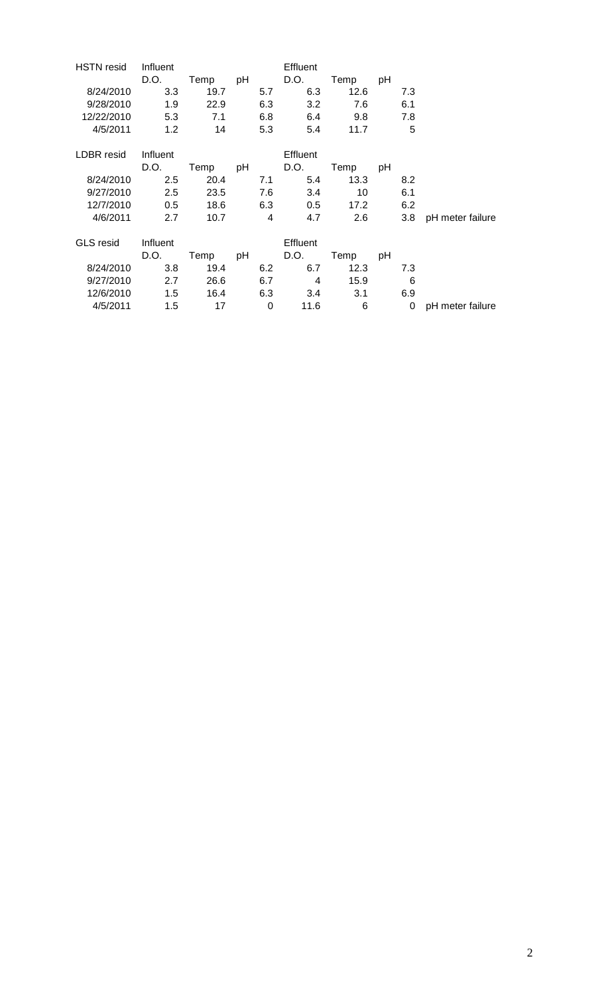| <b>HSTN</b> resid | Influent |              |                | <b>Effluent</b> |      |    |     |                  |
|-------------------|----------|--------------|----------------|-----------------|------|----|-----|------------------|
|                   | D.O.     | Temp         | pH             | D.O.            | Temp | рH |     |                  |
| 8/24/2010         | 3.3      | 19.7         | 5.7            | 6.3             | 12.6 |    | 7.3 |                  |
| 9/28/2010         | 1.9      | 22.9         | 6.3            | 3.2             | 7.6  |    | 6.1 |                  |
| 12/22/2010        | 5.3      | 7.1          | 6.8            | 6.4             | 9.8  |    | 7.8 |                  |
| 4/5/2011          | 1.2      | 14           | 5.3            | 5.4             | 11.7 |    | 5   |                  |
| LDBR resid        | Influent |              |                | Effluent        |      |    |     |                  |
|                   | D.O.     | Temp pH D.O. |                |                 | Temp | рH |     |                  |
| 8/24/2010         | 2.5      | 20.4         | 7.1            | 5.4             | 13.3 |    | 8.2 |                  |
| 9/27/2010         | 2.5      | 23.5         | 7.6            | 3.4             | 10   |    | 6.1 |                  |
| 12/7/2010         | 0.5      | 18.6         | 6.3            | 0.5             | 17.2 |    | 6.2 |                  |
| 4/6/2011          | 2.7      | 10.7         | $\overline{4}$ | 4.7             | 2.6  |    | 3.8 | pH meter failure |
| <b>GLS</b> resid  | Influent |              |                | <b>Effluent</b> |      |    |     |                  |
|                   | D.O.     | Temp         |                | pH D.O.         | Temp | pH |     |                  |
| 8/24/2010         | 3.8      | 19.4         | 6.2            | 6.7             | 12.3 |    | 7.3 |                  |
| 9/27/2010         | 2.7      | 26.6         | 6.7            | 4               | 15.9 |    | 6   |                  |
| 12/6/2010         | 1.5      | 16.4         | 6.3            | 3.4             | 3.1  |    | 6.9 |                  |
| 4/5/2011          | 1.5      | 17           | 0              | 11.6            | 6    |    | 0   | pH meter failure |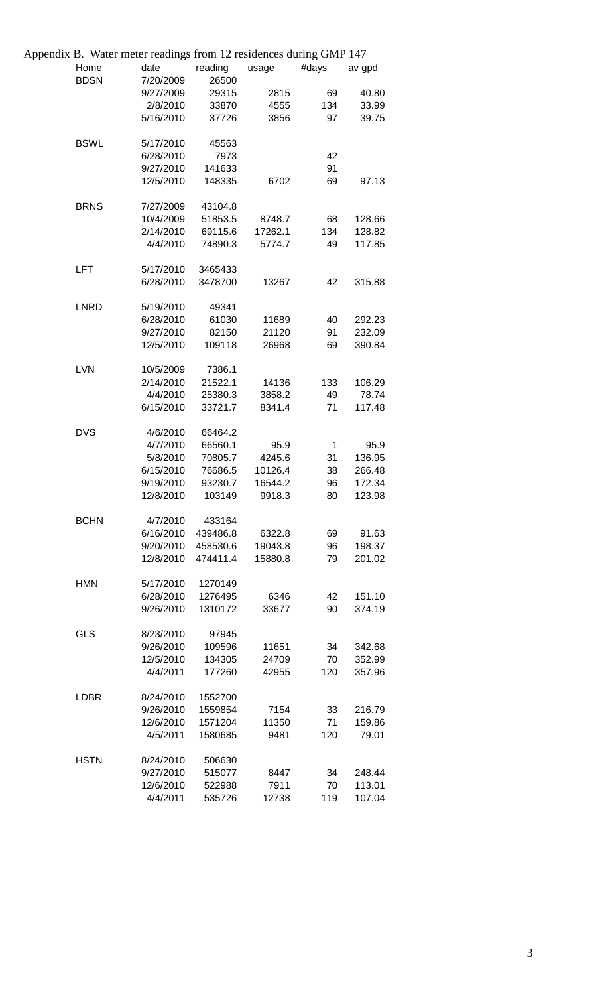| Appendix B. Water meter readings from 12 residences during GMP 147 |           |          |         |             |        |
|--------------------------------------------------------------------|-----------|----------|---------|-------------|--------|
| Home                                                               | date      | reading  | usage   | #days       | av gpd |
| <b>BDSN</b>                                                        | 7/20/2009 | 26500    |         |             |        |
|                                                                    | 9/27/2009 | 29315    | 2815    | 69          | 40.80  |
|                                                                    | 2/8/2010  | 33870    | 4555    | 134         | 33.99  |
|                                                                    | 5/16/2010 | 37726    | 3856    | 97          | 39.75  |
| <b>BSWL</b>                                                        | 5/17/2010 | 45563    |         |             |        |
|                                                                    | 6/28/2010 | 7973     |         | 42          |        |
|                                                                    | 9/27/2010 | 141633   |         | 91          |        |
|                                                                    | 12/5/2010 | 148335   | 6702    | 69          | 97.13  |
| <b>BRNS</b>                                                        | 7/27/2009 | 43104.8  |         |             |        |
|                                                                    | 10/4/2009 | 51853.5  | 8748.7  | 68          | 128.66 |
|                                                                    | 2/14/2010 | 69115.6  | 17262.1 | 134         | 128.82 |
|                                                                    | 4/4/2010  | 74890.3  | 5774.7  | 49          | 117.85 |
| LFT                                                                | 5/17/2010 | 3465433  |         |             |        |
|                                                                    | 6/28/2010 | 3478700  | 13267   | 42          | 315.88 |
| <b>LNRD</b>                                                        | 5/19/2010 | 49341    |         |             |        |
|                                                                    | 6/28/2010 | 61030    | 11689   | 40          | 292.23 |
|                                                                    | 9/27/2010 | 82150    | 21120   | 91          | 232.09 |
|                                                                    | 12/5/2010 | 109118   | 26968   | 69          | 390.84 |
| <b>LVN</b>                                                         | 10/5/2009 | 7386.1   |         |             |        |
|                                                                    | 2/14/2010 | 21522.1  | 14136   | 133         | 106.29 |
|                                                                    | 4/4/2010  | 25380.3  | 3858.2  | 49          | 78.74  |
|                                                                    | 6/15/2010 | 33721.7  | 8341.4  | 71          | 117.48 |
| <b>DVS</b>                                                         | 4/6/2010  | 66464.2  |         |             |        |
|                                                                    | 4/7/2010  | 66560.1  | 95.9    | $\mathbf 1$ | 95.9   |
|                                                                    | 5/8/2010  | 70805.7  | 4245.6  | 31          | 136.95 |
|                                                                    | 6/15/2010 | 76686.5  | 10126.4 | 38          | 266.48 |
|                                                                    | 9/19/2010 | 93230.7  | 16544.2 | 96          | 172.34 |
|                                                                    | 12/8/2010 | 103149   | 9918.3  | 80          | 123.98 |
| <b>BCHN</b>                                                        | 4/7/2010  | 433164   |         |             |        |
|                                                                    | 6/16/2010 | 439486.8 | 6322.8  | 69          | 91.63  |
|                                                                    | 9/20/2010 | 458530.6 | 19043.8 | 96          | 198.37 |
|                                                                    | 12/8/2010 | 474411.4 | 15880.8 | 79          | 201.02 |
| <b>HMN</b>                                                         | 5/17/2010 | 1270149  |         |             |        |
|                                                                    | 6/28/2010 | 1276495  | 6346    | 42          | 151.10 |
|                                                                    | 9/26/2010 | 1310172  | 33677   | 90          | 374.19 |
| <b>GLS</b>                                                         | 8/23/2010 | 97945    |         |             |        |
|                                                                    | 9/26/2010 | 109596   | 11651   | 34          | 342.68 |
|                                                                    | 12/5/2010 | 134305   | 24709   | 70          | 352.99 |
|                                                                    | 4/4/2011  | 177260   | 42955   | 120         | 357.96 |
| <b>LDBR</b>                                                        | 8/24/2010 | 1552700  |         |             |        |
|                                                                    | 9/26/2010 | 1559854  | 7154    | 33          | 216.79 |
|                                                                    | 12/6/2010 | 1571204  | 11350   | 71          | 159.86 |
|                                                                    | 4/5/2011  | 1580685  | 9481    | 120         | 79.01  |
| <b>HSTN</b>                                                        | 8/24/2010 | 506630   |         |             |        |
|                                                                    | 9/27/2010 | 515077   | 8447    | 34          | 248.44 |
|                                                                    | 12/6/2010 | 522988   | 7911    | 70          | 113.01 |
|                                                                    | 4/4/2011  | 535726   | 12738   | 119         | 107.04 |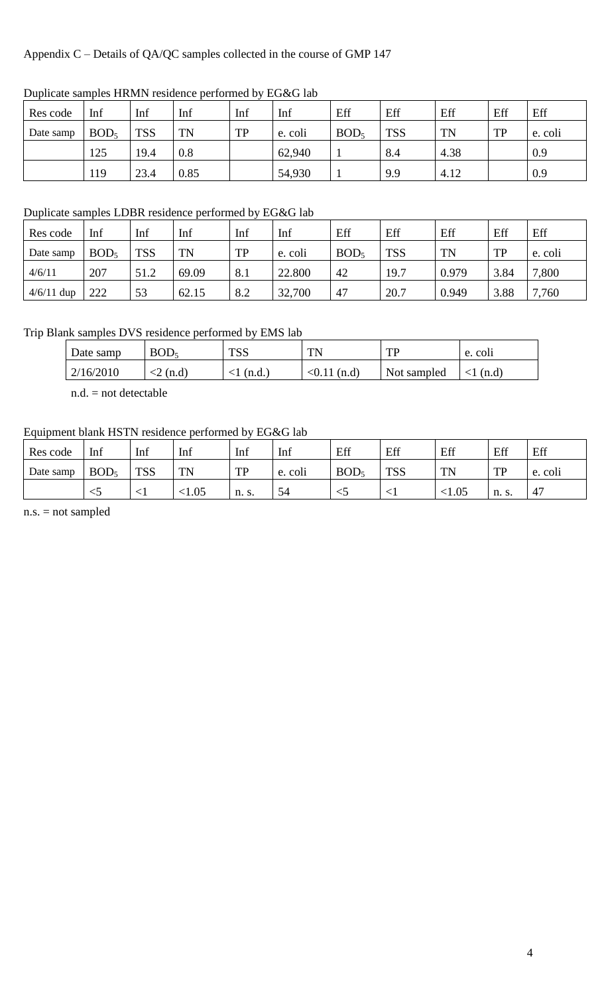# Appendix C – Details of QA/QC samples collected in the course of GMP 147

| Res code  | Inf              | Inf        | Inf  | Inf | Inf     | Eff              | Eff        | Eff       | Eff       | Eff     |
|-----------|------------------|------------|------|-----|---------|------------------|------------|-----------|-----------|---------|
| Date samp | BOD <sub>5</sub> | <b>TSS</b> | TN   | TP  | e. coli | BOD <sub>5</sub> | <b>TSS</b> | <b>TN</b> | <b>TP</b> | e. coli |
|           | 125              | 19.4       | 0.8  |     | 62,940  |                  | 8.4        | 4.38      |           | 0.9     |
|           | 119              | 23.4       | 0.85 |     | 54,930  |                  | 9.9        | 4.12      |           | 0.9     |

# Duplicate samples HRMN residence performed by EG&G lab

# Duplicate samples LDBR residence performed by EG&G lab

| Res code     | Inf              | Inf        | Inf       | Inf | Inf     | Eff              | Eff        | Eff       | Eff       | Eff     |
|--------------|------------------|------------|-----------|-----|---------|------------------|------------|-----------|-----------|---------|
| Date samp    | BOD <sub>5</sub> | <b>TSS</b> | <b>TN</b> | TP  | e. coli | BOD <sub>5</sub> | <b>TSS</b> | <b>TN</b> | <b>TP</b> | e. coli |
| 4/6/11       | 207              | 51.2       | 69.09     | 8.1 | 22.800  | 42               | 19.7       | 0.979     | 3.84      | 7,800   |
| $4/6/11$ dup | 222              | 53         | 62.15     | 8.2 | 32,700  | 47               | 20.7       | 0.949     | 3.88      | 7,760   |

# Trip Blank samples DVS residence performed by EMS lab

| Date samp | BOD <sub>5</sub> | <b>TSS</b> | TN.         | <b>TD</b>   | e. coli |
|-----------|------------------|------------|-------------|-------------|---------|
| 2/16/2010 | $\ln d$<br>╮∠    | (n.d.      | <0.11 (n.d) | Not sampled | (n.d)   |

n.d. = not detectable

# Equipment blank HSTN residence performed by EG&G lab

| Res code  | Inf              | Inf        | Inf         | Inf       | Inf     | Eff              | Eff                | Eff       | Eff                    | Eff     |
|-----------|------------------|------------|-------------|-----------|---------|------------------|--------------------|-----------|------------------------|---------|
| Date samp | BOD <sub>5</sub> | <b>TSS</b> | <b>TN</b>   | TР<br>T T | e. coli | BOD <sub>5</sub> | <b>TCC</b><br>מט ז | <b>TN</b> | <b>TD</b><br><b>TT</b> | e. coli |
|           | $\sim$           | ╮⊥         | $\leq 1.05$ | n. s.     | 54      | $\sim$           |                    | ${<}1.05$ | n. s.                  | 47      |

n.s. = not sampled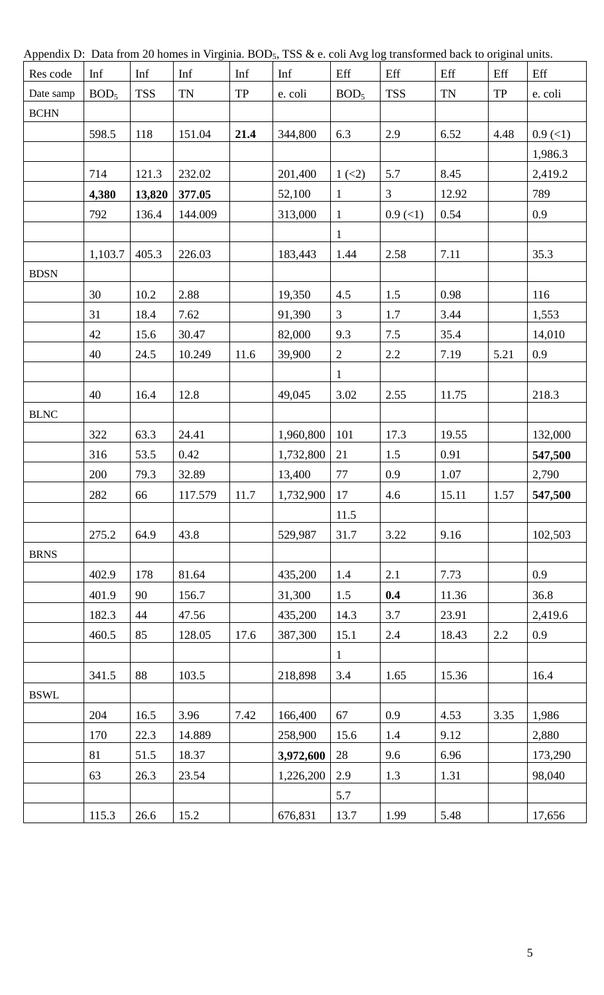| Appendix D. Data from 20 nomes in virginia. DOD5, 155 & c. Con Avg log transformed back to original thins. |                  |            |           |      |           |                  |            |           |           |            |
|------------------------------------------------------------------------------------------------------------|------------------|------------|-----------|------|-----------|------------------|------------|-----------|-----------|------------|
| Res code                                                                                                   | Inf              | Inf        | Inf       | Inf  | Inf       | Eff              | Eff        | Eff       | Eff       | Eff        |
| Date samp                                                                                                  | BOD <sub>5</sub> | <b>TSS</b> | <b>TN</b> | TP   | e. coli   | BOD <sub>5</sub> | <b>TSS</b> | <b>TN</b> | <b>TP</b> | e. coli    |
| <b>BCHN</b>                                                                                                |                  |            |           |      |           |                  |            |           |           |            |
|                                                                                                            | 598.5            | 118        | 151.04    | 21.4 | 344,800   | 6.3              | 2.9        | 6.52      | 4.48      | $0.9$ (<1) |
|                                                                                                            |                  |            |           |      |           |                  |            |           |           | 1,986.3    |
|                                                                                                            | 714              | 121.3      | 232.02    |      | 201,400   | $1 \,(2)$        | 5.7        | 8.45      |           | 2,419.2    |
|                                                                                                            | 4,380            | 13,820     | 377.05    |      | 52,100    | $\mathbf{1}$     | 3          | 12.92     |           | 789        |
|                                                                                                            | 792              | 136.4      | 144.009   |      | 313,000   | $\mathbf{1}$     | $0.9$ (<1) | 0.54      |           | 0.9        |
|                                                                                                            |                  |            |           |      |           | $\mathbf{1}$     |            |           |           |            |
|                                                                                                            | 1,103.7          | 405.3      | 226.03    |      | 183,443   | 1.44             | 2.58       | 7.11      |           | 35.3       |
| <b>BDSN</b>                                                                                                |                  |            |           |      |           |                  |            |           |           |            |
|                                                                                                            | 30               | 10.2       | 2.88      |      | 19,350    | 4.5              | 1.5        | 0.98      |           | 116        |
|                                                                                                            | 31               | 18.4       | 7.62      |      | 91,390    | $\overline{3}$   | 1.7        | 3.44      |           | 1,553      |
|                                                                                                            | 42               | 15.6       | 30.47     |      | 82,000    | 9.3              | 7.5        | 35.4      |           | 14,010     |
|                                                                                                            | 40               | 24.5       | 10.249    | 11.6 | 39,900    | $\overline{2}$   | 2.2        | 7.19      | 5.21      | 0.9        |
|                                                                                                            |                  |            |           |      |           | $\mathbf{1}$     |            |           |           |            |
|                                                                                                            | 40               | 16.4       | 12.8      |      | 49,045    | 3.02             | 2.55       | 11.75     |           | 218.3      |
| <b>BLNC</b>                                                                                                |                  |            |           |      |           |                  |            |           |           |            |
|                                                                                                            | 322              | 63.3       | 24.41     |      | 1,960,800 | 101              | 17.3       | 19.55     |           | 132,000    |
|                                                                                                            | 316              | 53.5       | 0.42      |      | 1,732,800 | 21               | 1.5        | 0.91      |           | 547,500    |
|                                                                                                            | 200              | 79.3       | 32.89     |      | 13,400    | $77\,$           | 0.9        | 1.07      |           | 2,790      |
|                                                                                                            | 282              | 66         | 117.579   | 11.7 | 1,732,900 | 17               | 4.6        | 15.11     | 1.57      | 547,500    |
|                                                                                                            |                  |            |           |      |           | 11.5             |            |           |           |            |
|                                                                                                            | 275.2            | 64.9       | 43.8      |      | 529,987   | 31.7             | 3.22       | 9.16      |           | 102,503    |
| <b>BRNS</b>                                                                                                |                  |            |           |      |           |                  |            |           |           |            |
|                                                                                                            | 402.9            | 178        | 81.64     |      | 435,200   | 1.4              | 2.1        | 7.73      |           | 0.9        |
|                                                                                                            | 401.9            | 90         | 156.7     |      | 31,300    | 1.5              | 0.4        | 11.36     |           | 36.8       |
|                                                                                                            | 182.3            | 44         | 47.56     |      | 435,200   | 14.3             | 3.7        | 23.91     |           | 2,419.6    |
|                                                                                                            | 460.5            | 85         | 128.05    | 17.6 | 387,300   | 15.1             | $2.4\,$    | 18.43     | 2.2       | 0.9        |
|                                                                                                            |                  |            |           |      |           | $\mathbf{1}$     |            |           |           |            |
|                                                                                                            | 341.5            | 88         | 103.5     |      | 218,898   | 3.4              | 1.65       | 15.36     |           | 16.4       |
| <b>BSWL</b>                                                                                                |                  |            |           |      |           |                  |            |           |           |            |
|                                                                                                            | 204              | 16.5       | 3.96      | 7.42 | 166,400   | 67               | 0.9        | 4.53      | 3.35      | 1,986      |
|                                                                                                            | 170              | 22.3       | 14.889    |      | 258,900   | 15.6             | 1.4        | 9.12      |           | 2,880      |
|                                                                                                            | 81               | 51.5       | 18.37     |      | 3,972,600 | 28               | 9.6        | 6.96      |           | 173,290    |
|                                                                                                            | 63               | 26.3       | 23.54     |      | 1,226,200 | 2.9              | 1.3        | 1.31      |           | 98,040     |
|                                                                                                            |                  |            |           |      |           | 5.7              |            |           |           |            |
|                                                                                                            | 115.3            | 26.6       | 15.2      |      | 676,831   | 13.7             | 1.99       | 5.48      |           | 17,656     |
|                                                                                                            |                  |            |           |      |           |                  |            |           |           |            |

Appendix D: Data from 20 homes in Virginia. BOD<sub>5</sub>, TSS & e. coli Avg log transformed back to original units.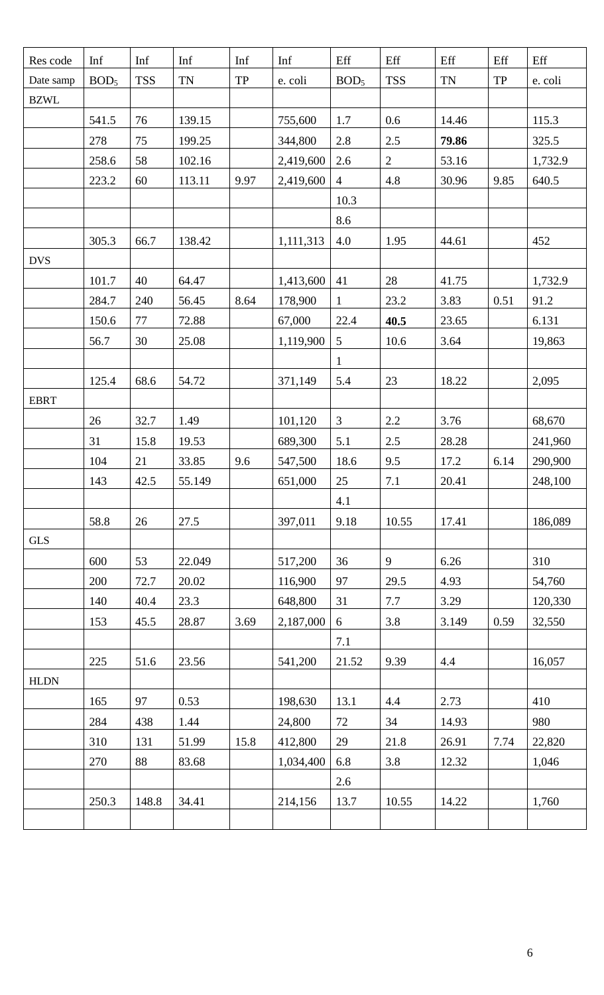| Res code    | Inf              | Inf        | Inf       | Inf       | Inf       | Eff              | Eff            | Eff       | Eff       | Eff     |
|-------------|------------------|------------|-----------|-----------|-----------|------------------|----------------|-----------|-----------|---------|
| Date samp   | BOD <sub>5</sub> | <b>TSS</b> | <b>TN</b> | <b>TP</b> | e. coli   | BOD <sub>5</sub> | <b>TSS</b>     | <b>TN</b> | <b>TP</b> | e. coli |
| <b>BZWL</b> |                  |            |           |           |           |                  |                |           |           |         |
|             | 541.5            | 76         | 139.15    |           | 755,600   | 1.7              | 0.6            | 14.46     |           | 115.3   |
|             | 278              | 75         | 199.25    |           | 344,800   | 2.8              | 2.5            | 79.86     |           | 325.5   |
|             | 258.6            | 58         | 102.16    |           | 2,419,600 | 2.6              | $\overline{2}$ | 53.16     |           | 1,732.9 |
|             | 223.2            | 60         | 113.11    | 9.97      | 2,419,600 | $\overline{4}$   | 4.8            | 30.96     | 9.85      | 640.5   |
|             |                  |            |           |           |           | 10.3             |                |           |           |         |
|             |                  |            |           |           |           | 8.6              |                |           |           |         |
|             | 305.3            | 66.7       | 138.42    |           | 1,111,313 | 4.0              | 1.95           | 44.61     |           | 452     |
| <b>DVS</b>  |                  |            |           |           |           |                  |                |           |           |         |
|             | 101.7            | 40         | 64.47     |           | 1,413,600 | 41               | $28\,$         | 41.75     |           | 1,732.9 |
|             | 284.7            | 240        | 56.45     | 8.64      | 178,900   | $\mathbf{1}$     | 23.2           | 3.83      | 0.51      | 91.2    |
|             | 150.6            | 77         | 72.88     |           | 67,000    | 22.4             | 40.5           | 23.65     |           | 6.131   |
|             | 56.7             | 30         | 25.08     |           | 1,119,900 | 5                | 10.6           | 3.64      |           | 19,863  |
|             |                  |            |           |           |           | $\mathbf{1}$     |                |           |           |         |
|             | 125.4            | 68.6       | 54.72     |           | 371,149   | 5.4              | $23\,$         | 18.22     |           | 2,095   |
| <b>EBRT</b> |                  |            |           |           |           |                  |                |           |           |         |
|             | 26               | 32.7       | 1.49      |           | 101,120   | $\mathfrak{Z}$   | 2.2            | 3.76      |           | 68,670  |
|             | 31               | 15.8       | 19.53     |           | 689,300   | 5.1              | $2.5\,$        | 28.28     |           | 241,960 |
|             | 104              | 21         | 33.85     | 9.6       | 547,500   | 18.6             | 9.5            | 17.2      | 6.14      | 290,900 |
|             | 143              | 42.5       | 55.149    |           | 651,000   | 25               | 7.1            | 20.41     |           | 248,100 |
|             |                  |            |           |           |           | 4.1              |                |           |           |         |
|             | 58.8             | 26         | 27.5      |           | 397,011   | 9.18             | 10.55          | 17.41     |           | 186,089 |
| <b>GLS</b>  |                  |            |           |           |           |                  |                |           |           |         |
|             | 600              | 53         | 22.049    |           | 517,200   | 36               | 9              | 6.26      |           | 310     |
|             | 200              | 72.7       | 20.02     |           | 116,900   | 97               | 29.5           | 4.93      |           | 54,760  |
|             | 140              | 40.4       | 23.3      |           | 648,800   | 31               | 7.7            | 3.29      |           | 120,330 |
|             | 153              | 45.5       | 28.87     | 3.69      | 2,187,000 | $\boldsymbol{6}$ | 3.8            | 3.149     | 0.59      | 32,550  |
|             |                  |            |           |           |           | 7.1              |                |           |           |         |
|             | 225              | 51.6       | 23.56     |           | 541,200   | 21.52            | 9.39           | 4.4       |           | 16,057  |
| <b>HLDN</b> |                  |            |           |           |           |                  |                |           |           |         |
|             | 165              | 97         | 0.53      |           | 198,630   | 13.1             | 4.4            | 2.73      |           | 410     |
|             | 284              | 438        | 1.44      |           | 24,800    | 72               | 34             | 14.93     |           | 980     |
|             | 310              | 131        | 51.99     | 15.8      | 412,800   | 29               | 21.8           | 26.91     | 7.74      | 22,820  |
|             | 270              | 88         | 83.68     |           | 1,034,400 | 6.8              | 3.8            | 12.32     |           | 1,046   |
|             |                  |            |           |           |           | 2.6              |                |           |           |         |
|             | 250.3            | 148.8      | 34.41     |           | 214,156   | 13.7             | 10.55          | 14.22     |           | 1,760   |
|             |                  |            |           |           |           |                  |                |           |           |         |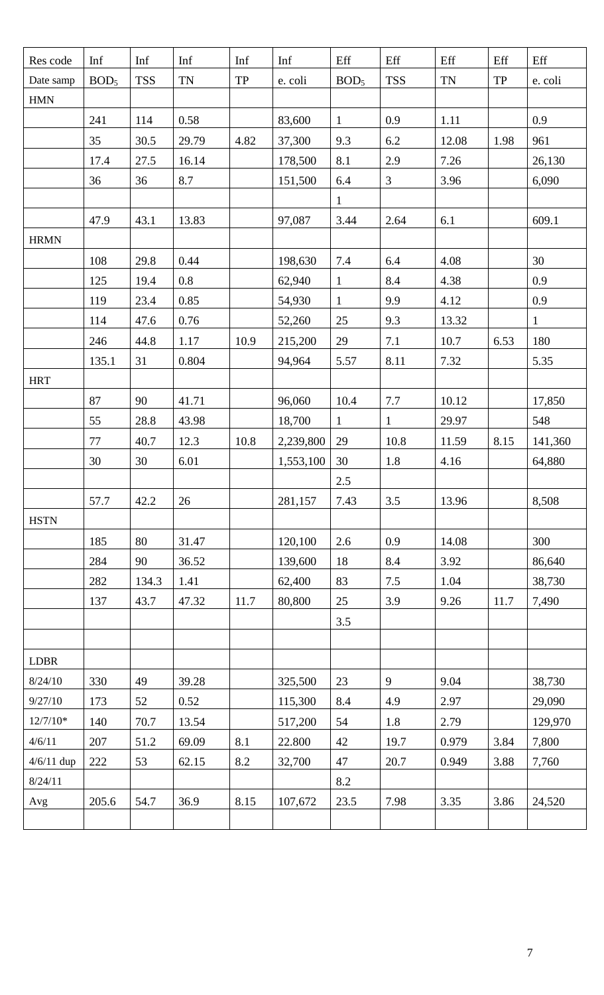| Res code             | Inf              | Inf        | Inf       | Inf       | Inf       | Eff              | Eff            | Eff       | Eff       | Eff          |
|----------------------|------------------|------------|-----------|-----------|-----------|------------------|----------------|-----------|-----------|--------------|
| Date samp            | BOD <sub>5</sub> | <b>TSS</b> | <b>TN</b> | <b>TP</b> | e. coli   | BOD <sub>5</sub> | <b>TSS</b>     | <b>TN</b> | <b>TP</b> | e. coli      |
| <b>HMN</b>           |                  |            |           |           |           |                  |                |           |           |              |
|                      | 241              | 114        | 0.58      |           | 83,600    | $\mathbf{1}$     | 0.9            | 1.11      |           | 0.9          |
|                      | 35               | 30.5       | 29.79     | 4.82      | 37,300    | 9.3              | 6.2            | 12.08     | 1.98      | 961          |
|                      | 17.4             | 27.5       | 16.14     |           | 178,500   | 8.1              | 2.9            | 7.26      |           | 26,130       |
|                      | 36               | 36         | 8.7       |           | 151,500   | 6.4              | $\mathfrak{Z}$ | 3.96      |           | 6,090        |
|                      |                  |            |           |           |           | $\mathbf{1}$     |                |           |           |              |
|                      | 47.9             | 43.1       | 13.83     |           | 97,087    | 3.44             | 2.64           | 6.1       |           | 609.1        |
| <b>HRMN</b>          |                  |            |           |           |           |                  |                |           |           |              |
|                      | 108              | 29.8       | 0.44      |           | 198,630   | 7.4              | 6.4            | 4.08      |           | 30           |
|                      | 125              | 19.4       | 0.8       |           | 62,940    | $\mathbf{1}$     | 8.4            | 4.38      |           | 0.9          |
|                      | 119              | 23.4       | 0.85      |           | 54,930    | $\mathbf{1}$     | 9.9            | 4.12      |           | 0.9          |
|                      | 114              | 47.6       | 0.76      |           | 52,260    | 25               | 9.3            | 13.32     |           | $\mathbf{1}$ |
|                      | 246              | 44.8       | 1.17      | 10.9      | 215,200   | 29               | 7.1            | 10.7      | 6.53      | 180          |
|                      | 135.1            | 31         | 0.804     |           | 94,964    | 5.57             | 8.11           | 7.32      |           | 5.35         |
| <b>HRT</b>           |                  |            |           |           |           |                  |                |           |           |              |
|                      | 87               | 90         | 41.71     |           | 96,060    | 10.4             | 7.7            | 10.12     |           | 17,850       |
|                      | 55               | 28.8       | 43.98     |           | 18,700    | $\mathbf{1}$     | $\mathbf{1}$   | 29.97     |           | 548          |
|                      | $77\,$           | 40.7       | 12.3      | 10.8      | 2,239,800 | 29               | 10.8           | 11.59     | 8.15      | 141,360      |
|                      | 30               | 30         | 6.01      |           | 1,553,100 | 30               | 1.8            | 4.16      |           | 64,880       |
|                      |                  |            |           |           |           | $2.5\,$          |                |           |           |              |
|                      | 57.7             | 42.2       | 26        |           | 281,157   | 7.43             | 3.5            | 13.96     |           | 8,508        |
| <b>HSTN</b>          |                  |            |           |           |           |                  |                |           |           |              |
|                      | 185              | 80         | 31.47     |           | 120,100   | 2.6              | 0.9            | 14.08     |           | 300          |
|                      | 284              | 90         | 36.52     |           | 139,600   | 18               | 8.4            | 3.92      |           | 86,640       |
|                      | 282              | 134.3      | 1.41      |           | 62,400    | 83               | 7.5            | 1.04      |           | 38,730       |
|                      | 137              | 43.7       | 47.32     | 11.7      | 80,800    | 25               | 3.9            | 9.26      | 11.7      | 7,490        |
|                      |                  |            |           |           |           | 3.5              |                |           |           |              |
|                      |                  |            |           |           |           |                  |                |           |           |              |
| <b>LDBR</b>          |                  |            |           |           |           |                  |                |           |           |              |
| 8/24/10              | 330              | 49         | 39.28     |           | 325,500   | 23               | 9              | 9.04      |           | 38,730       |
| 9/27/10              | 173              | 52         | 0.52      |           | 115,300   | 8.4              | 4.9            | 2.97      |           | 29,090       |
| $12/7/10*$           | 140              | 70.7       | 13.54     |           | 517,200   | 54               | 1.8            | 2.79      |           | 129,970      |
| 4/6/11               | 207              | 51.2       | 69.09     | 8.1       | 22.800    | 42               | 19.7           | 0.979     | 3.84      | 7,800        |
| $4/6/11$ dup         | 222              | 53         | 62.15     | 8.2       | 32,700    | 47               | 20.7           | 0.949     | 3.88      | 7,760        |
| 8/24/11              |                  |            |           |           |           | 8.2              |                |           |           |              |
| $\operatorname{Avg}$ | 205.6            | 54.7       | 36.9      | 8.15      | 107,672   | 23.5             | 7.98           | 3.35      | 3.86      | 24,520       |
|                      |                  |            |           |           |           |                  |                |           |           |              |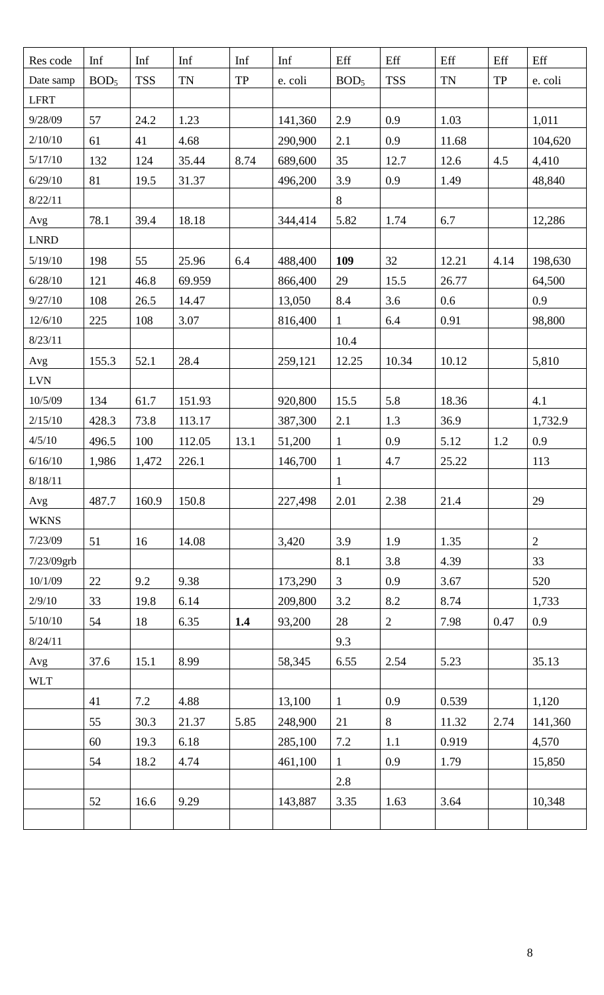| Res code    | Inf              | Inf        | Inf       | Inf       | Inf     | Eff              | Eff          | Eff       | Eff       | Eff        |
|-------------|------------------|------------|-----------|-----------|---------|------------------|--------------|-----------|-----------|------------|
| Date samp   | BOD <sub>5</sub> | <b>TSS</b> | <b>TN</b> | <b>TP</b> | e. coli | BOD <sub>5</sub> | <b>TSS</b>   | <b>TN</b> | <b>TP</b> | e. coli    |
| <b>LFRT</b> |                  |            |           |           |         |                  |              |           |           |            |
| 9/28/09     | 57               | 24.2       | 1.23      |           | 141,360 | 2.9              | 0.9          | 1.03      |           | 1,011      |
| 2/10/10     | 61               | 41         | 4.68      |           | 290,900 | 2.1              | 0.9          | 11.68     |           | 104,620    |
| 5/17/10     | 132              | 124        | 35.44     | 8.74      | 689,600 | 35               | 12.7         | 12.6      | 4.5       | 4,410      |
| 6/29/10     | 81               | 19.5       | 31.37     |           | 496,200 | 3.9              | 0.9          | 1.49      |           | 48,840     |
| 8/22/11     |                  |            |           |           |         | 8                |              |           |           |            |
| Avg         | 78.1             | 39.4       | 18.18     |           | 344,414 | 5.82             | 1.74         | 6.7       |           | 12,286     |
| <b>LNRD</b> |                  |            |           |           |         |                  |              |           |           |            |
| 5/19/10     | 198              | 55         | 25.96     | 6.4       | 488,400 | 109              | 32           | 12.21     | 4.14      | 198,630    |
| 6/28/10     | 121              | 46.8       | 69.959    |           | 866,400 | 29               | 15.5         | 26.77     |           | 64,500     |
| 9/27/10     | 108              | 26.5       | 14.47     |           | 13,050  | 8.4              | 3.6          | 0.6       |           | 0.9        |
| 12/6/10     | 225              | 108        | 3.07      |           | 816,400 | $\mathbf{1}$     | 6.4          | 0.91      |           | 98,800     |
| 8/23/11     |                  |            |           |           |         | 10.4             |              |           |           |            |
| Avg         | 155.3            | 52.1       | 28.4      |           | 259,121 | 12.25            | 10.34        | 10.12     |           | 5,810      |
| <b>LVN</b>  |                  |            |           |           |         |                  |              |           |           |            |
| 10/5/09     | 134              | 61.7       | 151.93    |           | 920,800 | 15.5             | 5.8          | 18.36     |           | 4.1        |
| 2/15/10     | 428.3            | 73.8       | 113.17    |           | 387,300 | 2.1              | 1.3          | 36.9      |           | 1,732.9    |
| 4/5/10      | 496.5            | 100        | 112.05    | 13.1      | 51,200  | $\mathbf{1}$     | 0.9          | 5.12      | 1.2       | 0.9        |
| 6/16/10     | 1,986            | 1,472      | 226.1     |           | 146,700 | $\mathbf{1}$     | 4.7          | 25.22     |           | 113        |
| 8/18/11     |                  |            |           |           |         | $\mathbf{1}$     |              |           |           |            |
| Avg         | 487.7            | 160.9      | 150.8     |           | 227,498 | 2.01             | 2.38         | 21.4      |           | 29         |
| <b>WKNS</b> |                  |            |           |           |         |                  |              |           |           |            |
| 7/23/09     | 51               | 16         | 14.08     |           | 3,420   | 3.9              | 1.9          | 1.35      |           | $\sqrt{2}$ |
| 7/23/09grb  |                  |            |           |           |         | 8.1              | 3.8          | 4.39      |           | 33         |
| 10/1/09     | 22               | 9.2        | 9.38      |           | 173,290 | 3                | 0.9          | 3.67      |           | 520        |
| 2/9/10      | 33               | 19.8       | 6.14      |           | 209,800 | $3.2\,$          | 8.2          | 8.74      |           | 1,733      |
| 5/10/10     | 54               | 18         | 6.35      | 1.4       | 93,200  | 28               | $\mathbf{2}$ | 7.98      | 0.47      | 0.9        |
| 8/24/11     |                  |            |           |           |         | 9.3              |              |           |           |            |
| Avg         | 37.6             | 15.1       | 8.99      |           | 58,345  | 6.55             | 2.54         | 5.23      |           | 35.13      |
| <b>WLT</b>  |                  |            |           |           |         |                  |              |           |           |            |
|             | 41               | 7.2        | 4.88      |           | 13,100  | $\mathbf{1}$     | 0.9          | 0.539     |           | 1,120      |
|             | 55               | 30.3       | 21.37     | 5.85      | 248,900 | 21               | 8            | 11.32     | 2.74      | 141,360    |
|             | 60               | 19.3       | 6.18      |           | 285,100 | $7.2\,$          | 1.1          | 0.919     |           | 4,570      |
|             | 54               | 18.2       | 4.74      |           | 461,100 | $\mathbf{1}$     | 0.9          | 1.79      |           | 15,850     |
|             |                  |            |           |           |         | 2.8              |              |           |           |            |
|             | 52               | 16.6       | 9.29      |           | 143,887 | 3.35             | 1.63         | 3.64      |           | 10,348     |
|             |                  |            |           |           |         |                  |              |           |           |            |